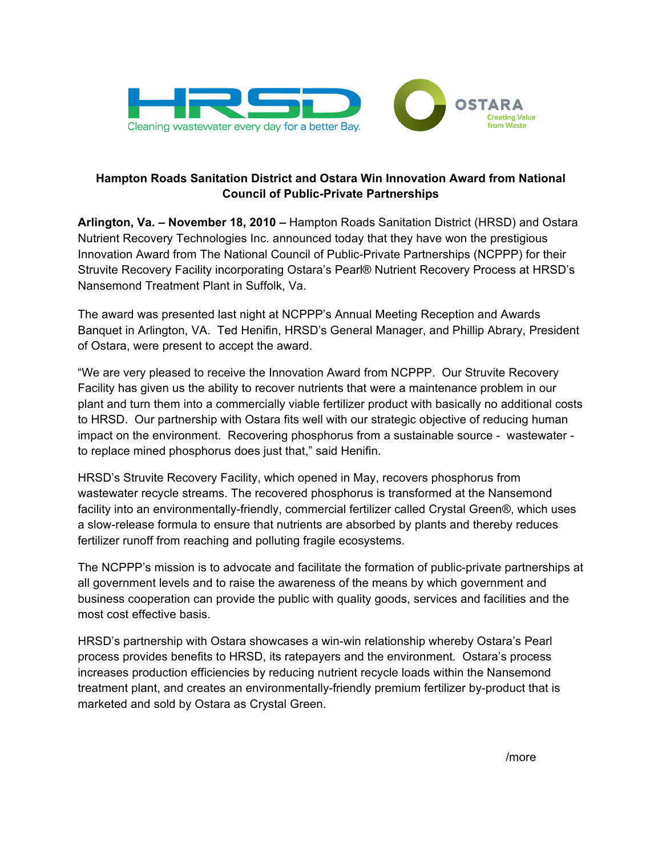

# **Hampton Roads Sanitation District and Ostara Win Innovation Award from National Council of Public-Private Partnerships**

**Arlington, Va. – November 18, 2010 –** Hampton Roads Sanitation District (HRSD) and Ostara Nutrient Recovery Technologies Inc. announced today that they have won the prestigious Innovation Award from The National Council of Public-Private Partnerships (NCPPP) for their Struvite Recovery Facility incorporating Ostara's Pearl® Nutrient Recovery Process at HRSD's Nansemond Treatment Plant in Suffolk, Va.

The award was presented last night at NCPPP's Annual Meeting Reception and Awards Banquet in Arlington, VA. Ted Henifin, HRSD's General Manager, and Phillip Abrary, President of Ostara, were present to accept the award.

"We are very pleased to receive the Innovation Award from NCPPP. Our Struvite Recovery Facility has given us the ability to recover nutrients that were a maintenance problem in our plant and turn them into a commercially viable fertilizer product with basically no additional costs to HRSD. Our partnership with Ostara fits well with our strategic objective of reducing human impact on the environment. Recovering phosphorus from a sustainable source - wastewater to replace mined phosphorus does just that," said Henifin.

HRSD's Struvite Recovery Facility, which opened in May, recovers phosphorus from wastewater recycle streams. The recovered phosphorus is transformed at the Nansemond facility into an environmentally-friendly, commercial fertilizer called Crystal Green®, which uses a slow-release formula to ensure that nutrients are absorbed by plants and thereby reduces fertilizer runoff from reaching and polluting fragile ecosystems.

The NCPPP's mission is to advocate and facilitate the formation of public-private partnerships at all government levels and to raise the awareness of the means by which government and business cooperation can provide the public with quality goods, services and facilities and the most cost effective basis.

HRSD's partnership with Ostara showcases a win-win relationship whereby Ostara's Pearl process provides benefits to HRSD, its ratepayers and the environment. Ostara's process increases production efficiencies by reducing nutrient recycle loads within the Nansemond treatment plant, and creates an environmentally-friendly premium fertilizer by-product that is marketed and sold by Ostara as Crystal Green.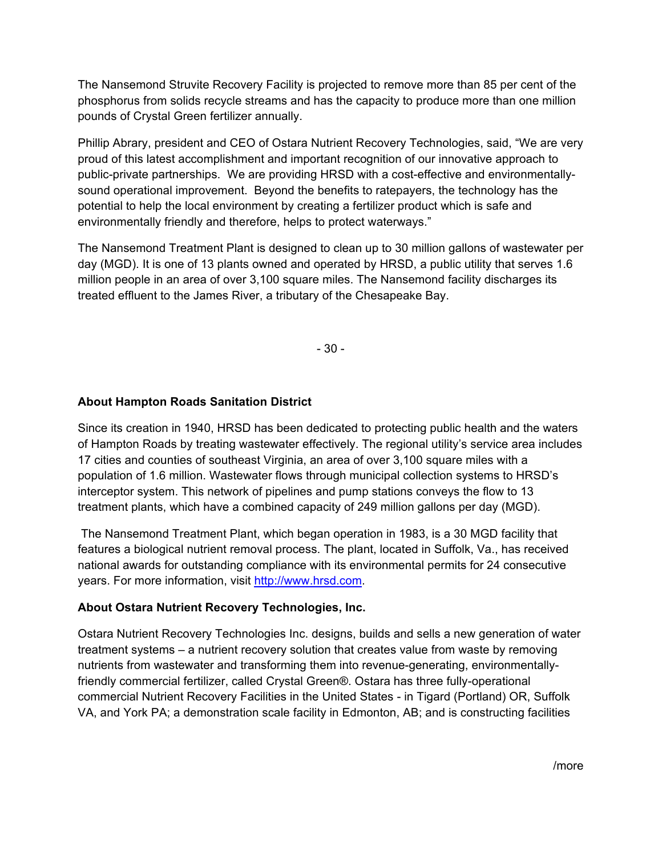The Nansemond Struvite Recovery Facility is projected to remove more than 85 per cent of the phosphorus from solids recycle streams and has the capacity to produce more than one million pounds of Crystal Green fertilizer annually.

Phillip Abrary, president and CEO of Ostara Nutrient Recovery Technologies, said, "We are very proud of this latest accomplishment and important recognition of our innovative approach to public-private partnerships. We are providing HRSD with a cost-effective and environmentallysound operational improvement. Beyond the benefits to ratepayers, the technology has the potential to help the local environment by creating a fertilizer product which is safe and environmentally friendly and therefore, helps to protect waterways."

The Nansemond Treatment Plant is designed to clean up to 30 million gallons of wastewater per day (MGD). It is one of 13 plants owned and operated by HRSD, a public utility that serves 1.6 million people in an area of over 3,100 square miles. The Nansemond facility discharges its treated effluent to the James River, a tributary of the Chesapeake Bay.

- 30 -

## **About Hampton Roads Sanitation District**

Since its creation in 1940, HRSD has been dedicated to protecting public health and the waters of Hampton Roads by treating wastewater effectively. The regional utility's service area includes 17 cities and counties of southeast Virginia, an area of over 3,100 square miles with a population of 1.6 million. Wastewater flows through municipal collection systems to HRSD's interceptor system. This network of pipelines and pump stations conveys the flow to 13 treatment plants, which have a combined capacity of 249 million gallons per day (MGD).

 The Nansemond Treatment Plant, which began operation in 1983, is a 30 MGD facility that features a biological nutrient removal process. The plant, located in Suffolk, Va., has received national awards for outstanding compliance with its environmental permits for 24 consecutive years. For more information, visit http://www.hrsd.com.

### **About Ostara Nutrient Recovery Technologies, Inc.**

Ostara Nutrient Recovery Technologies Inc. designs, builds and sells a new generation of water treatment systems – a nutrient recovery solution that creates value from waste by removing nutrients from wastewater and transforming them into revenue-generating, environmentallyfriendly commercial fertilizer, called Crystal Green®. Ostara has three fully-operational commercial Nutrient Recovery Facilities in the United States - in Tigard (Portland) OR, Suffolk VA, and York PA; a demonstration scale facility in Edmonton, AB; and is constructing facilities